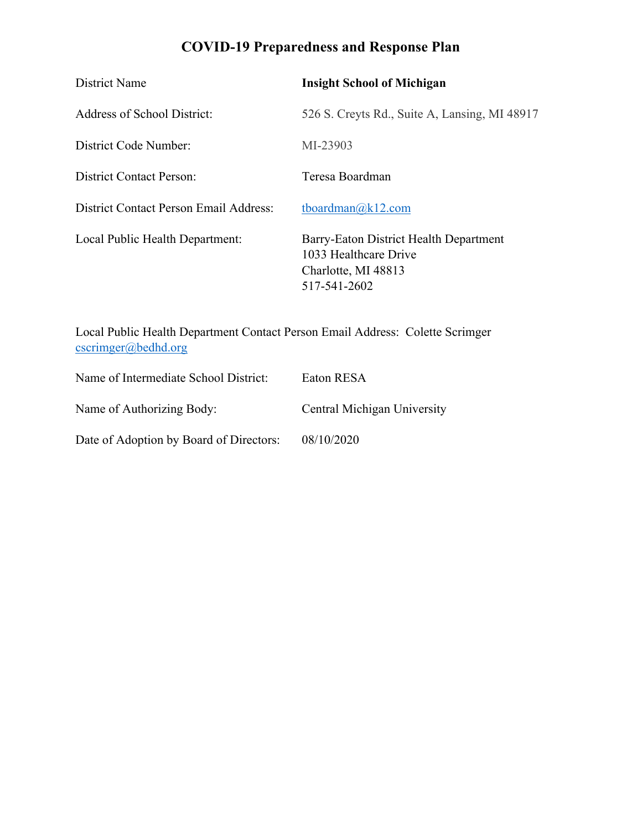# **COVID-19 Preparedness and Response Plan**

| District Name                          | <b>Insight School of Michigan</b>                                                                      |
|----------------------------------------|--------------------------------------------------------------------------------------------------------|
| Address of School District:            | 526 S. Creyts Rd., Suite A, Lansing, MI 48917                                                          |
| District Code Number:                  | MI-23903                                                                                               |
| District Contact Person:               | Teresa Boardman                                                                                        |
| District Contact Person Email Address: | tboardman@k12.com                                                                                      |
| Local Public Health Department:        | Barry-Eaton District Health Department<br>1033 Healthcare Drive<br>Charlotte, MI 48813<br>517-541-2602 |

Local Public Health Department Contact Person Email Address: Colette Scrimger cscrimger@bedhd.org

| Name of Intermediate School District:   | Eaton RESA                  |
|-----------------------------------------|-----------------------------|
| Name of Authorizing Body:               | Central Michigan University |
| Date of Adoption by Board of Directors: | 08/10/2020                  |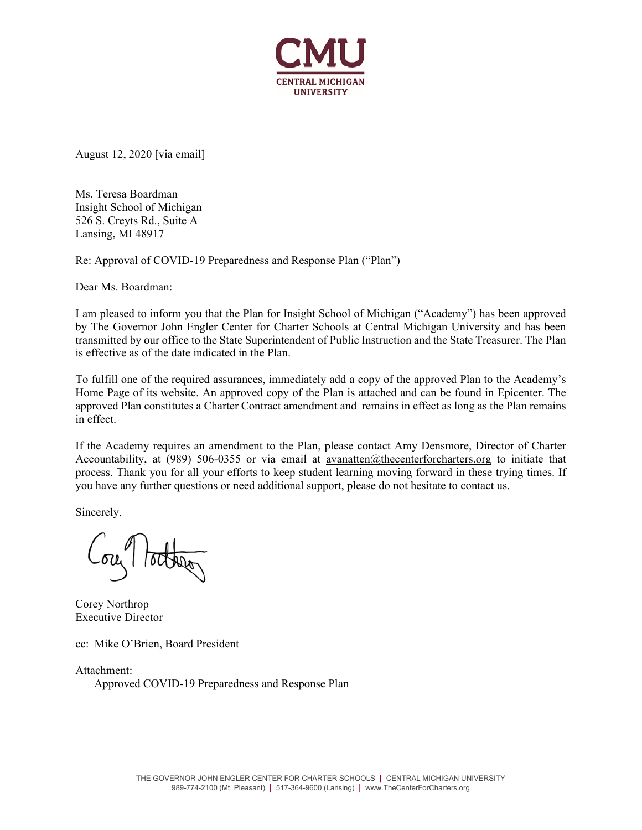

August 12, 2020 [via email]

Ms. Teresa Boardman Insight School of Michigan 526 S. Creyts Rd., Suite A Lansing, MI 48917

Re: Approval of COVID-19 Preparedness and Response Plan ("Plan")

Dear Ms. Boardman:

I am pleased to inform you that the Plan for Insight School of Michigan ("Academy") has been approved by The Governor John Engler Center for Charter Schools at Central Michigan University and has been transmitted by our office to the State Superintendent of Public Instruction and the State Treasurer. The Plan is effective as of the date indicated in the Plan.

To fulfill one of the required assurances, immediately add a copy of the approved Plan to the Academy's Home Page of its website. An approved copy of the Plan is attached and can be found in Epicenter. The approved Plan constitutes a Charter Contract amendment and remains in effect as long as the Plan remains in effect.

If the Academy requires an amendment to the Plan, please contact Amy Densmore, Director of Charter Accountability, at (989) 506-0355 or via email at avanatten@thecenterforcharters.org to initiate that process. Thank you for all your efforts to keep student learning moving forward in these trying times. If you have any further questions or need additional support, please do not hesitate to contact us.

Sincerely,

Corey Northrop Executive Director

cc: Mike O'Brien, Board President

Attachment: Approved COVID-19 Preparedness and Response Plan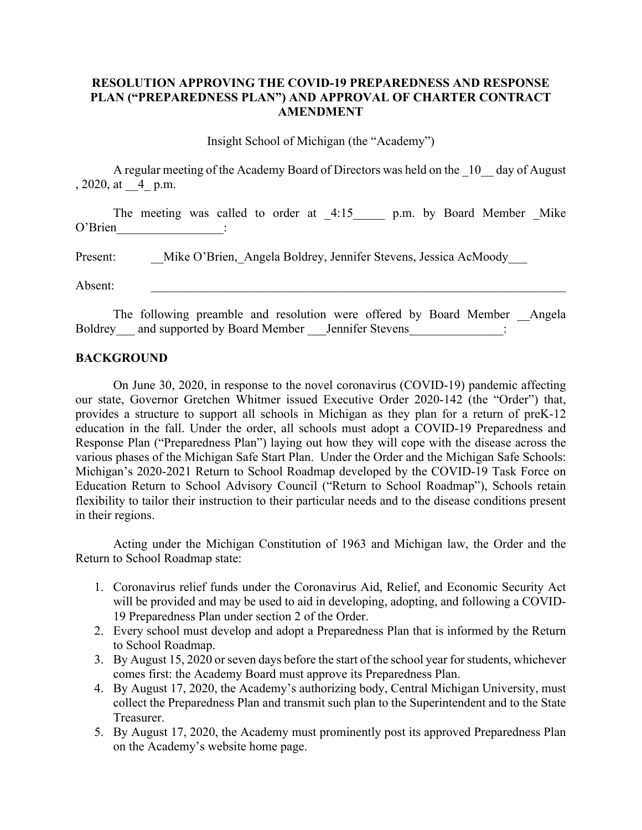### **RESOLUTION APPROVING THE COVID-19 PREPAREDNESS AND RESPONSE PLAN ("PREPAREDNESS PLAN") AND APPROVAL OF CHARTER CONTRACT AMENDMENT**

Insight School of Michigan (the "Academy")

 A regular meeting of the Academy Board of Directors was held on the \_10\_\_ day of August , 2020, at \_\_4\_ p.m.

The meeting was called to order at 4:15 p.m. by Board Member Mike O'Brien :

Present: Mike O'Brien, Angela Boldrey, Jennifer Stevens, Jessica AcMoody

Absent:

The following preamble and resolution were offered by Board Member Angela Boldrey and supported by Board Member Jennifer Stevens :

#### **BACKGROUND**

 On June 30, 2020, in response to the novel coronavirus (COVID-19) pandemic affecting our state, Governor Gretchen Whitmer issued Executive Order 2020-142 (the "Order") that, provides a structure to support all schools in Michigan as they plan for a return of preK-12 education in the fall. Under the order, all schools must adopt a COVID-19 Preparedness and Response Plan ("Preparedness Plan") laying out how they will cope with the disease across the various phases of the Michigan Safe Start Plan. Under the Order and the Michigan Safe Schools: Michigan's 2020-2021 Return to School Roadmap developed by the COVID-19 Task Force on Education Return to School Advisory Council ("Return to School Roadmap"), Schools retain flexibility to tailor their instruction to their particular needs and to the disease conditions present in their regions.

 Acting under the Michigan Constitution of 1963 and Michigan law, the Order and the Return to School Roadmap state:

- 1. Coronavirus relief funds under the Coronavirus Aid, Relief, and Economic Security Act will be provided and may be used to aid in developing, adopting, and following a COVID-19 Preparedness Plan under section 2 of the Order.
- 2. Every school must develop and adopt a Preparedness Plan that is informed by the Return to School Roadmap.
- 3. By August 15, 2020 or seven days before the start of the school year for students, whichever comes first: the Academy Board must approve its Preparedness Plan.
- 4. By August 17, 2020, the Academy's authorizing body, Central Michigan University, must collect the Preparedness Plan and transmit such plan to the Superintendent and to the State Treasurer.
- 5. By August 17, 2020, the Academy must prominently post its approved Preparedness Plan on the Academy's website home page.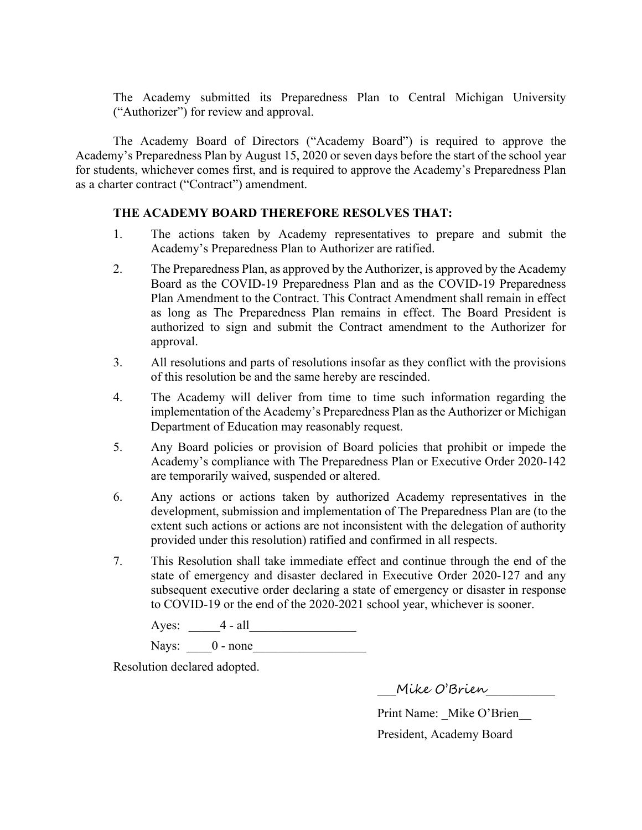The Academy submitted its Preparedness Plan to Central Michigan University ("Authorizer") for review and approval.

 The Academy Board of Directors ("Academy Board") is required to approve the Academy's Preparedness Plan by August 15, 2020 or seven days before the start of the school year for students, whichever comes first, and is required to approve the Academy's Preparedness Plan as a charter contract ("Contract") amendment.

### **THE ACADEMY BOARD THEREFORE RESOLVES THAT:**

- 1. The actions taken by Academy representatives to prepare and submit the Academy's Preparedness Plan to Authorizer are ratified.
- 2. The Preparedness Plan, as approved by the Authorizer, is approved by the Academy Board as the COVID-19 Preparedness Plan and as the COVID-19 Preparedness Plan Amendment to the Contract. This Contract Amendment shall remain in effect as long as The Preparedness Plan remains in effect. The Board President is authorized to sign and submit the Contract amendment to the Authorizer for approval.
- 3. All resolutions and parts of resolutions insofar as they conflict with the provisions of this resolution be and the same hereby are rescinded.
- 4. The Academy will deliver from time to time such information regarding the implementation of the Academy's Preparedness Plan as the Authorizer or Michigan Department of Education may reasonably request.
- 5. Any Board policies or provision of Board policies that prohibit or impede the Academy's compliance with The Preparedness Plan or Executive Order 2020-142 are temporarily waived, suspended or altered.
- 6. Any actions or actions taken by authorized Academy representatives in the development, submission and implementation of The Preparedness Plan are (to the extent such actions or actions are not inconsistent with the delegation of authority provided under this resolution) ratified and confirmed in all respects.
- 7. This Resolution shall take immediate effect and continue through the end of the state of emergency and disaster declared in Executive Order 2020-127 and any subsequent executive order declaring a state of emergency or disaster in response to COVID-19 or the end of the 2020-2021 school year, whichever is sooner.

| $\sim$ $\sim$<br>$\ddotsc$ | . .<br> |  |
|----------------------------|---------|--|
|                            |         |  |

Nays:  $0$  - none

Resolution declared adopted.

\_\_\_Mike O'Brien\_\_\_\_\_\_\_\_\_\_\_

Print Name: Mike O'Brien President, Academy Board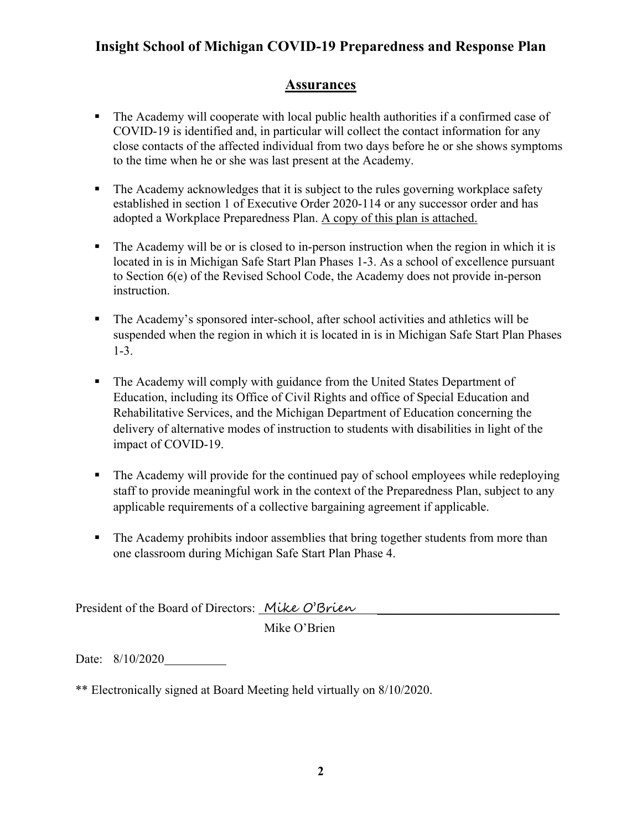## **Assurances**

- The Academy will cooperate with local public health authorities if a confirmed case of COVID-19 is identified and, in particular will collect the contact information for any close contacts of the affected individual from two days before he or she shows symptoms to the time when he or she was last present at the Academy.
- The Academy acknowledges that it is subject to the rules governing workplace safety established in section 1 of Executive Order 2020-114 or any successor order and has adopted a Workplace Preparedness Plan. A copy of this plan is attached.
- The Academy will be or is closed to in-person instruction when the region in which it is located in is in Michigan Safe Start Plan Phases 1-3. As a school of excellence pursuant to Section 6(e) of the Revised School Code, the Academy does not provide in-person instruction.
- The Academy's sponsored inter-school, after school activities and athletics will be suspended when the region in which it is located in is in Michigan Safe Start Plan Phases 1-3.
- The Academy will comply with guidance from the United States Department of Education, including its Office of Civil Rights and office of Special Education and Rehabilitative Services, and the Michigan Department of Education concerning the delivery of alternative modes of instruction to students with disabilities in light of the impact of COVID-19.
- The Academy will provide for the continued pay of school employees while redeploying staff to provide meaningful work in the context of the Preparedness Plan, subject to any applicable requirements of a collective bargaining agreement if applicable.
- The Academy prohibits indoor assemblies that bring together students from more than one classroom during Michigan Safe Start Plan Phase 4.

President of the Board of Directors: Mike O'Brien

Mike O'Brien

Date: 8/10/2020

\*\* Electronically signed at Board Meeting held virtually on 8/10/2020.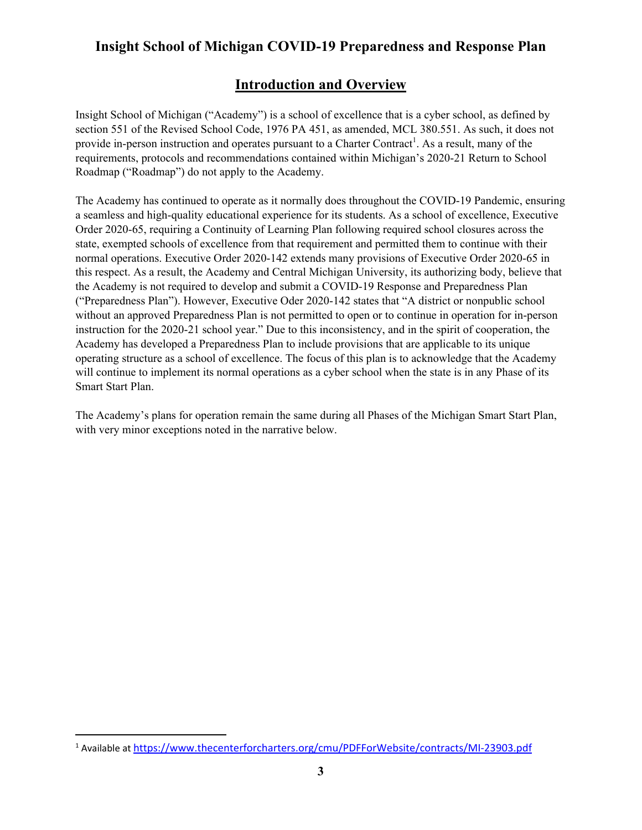## **Introduction and Overview**

Insight School of Michigan ("Academy") is a school of excellence that is a cyber school, as defined by section 551 of the Revised School Code, 1976 PA 451, as amended, MCL 380.551. As such, it does not provide in-person instruction and operates pursuant to a Charter Contract<sup>1</sup>. As a result, many of the requirements, protocols and recommendations contained within Michigan's 2020-21 Return to School Roadmap ("Roadmap") do not apply to the Academy.

The Academy has continued to operate as it normally does throughout the COVID-19 Pandemic, ensuring a seamless and high-quality educational experience for its students. As a school of excellence, Executive Order 2020-65, requiring a Continuity of Learning Plan following required school closures across the state, exempted schools of excellence from that requirement and permitted them to continue with their normal operations. Executive Order 2020-142 extends many provisions of Executive Order 2020-65 in this respect. As a result, the Academy and Central Michigan University, its authorizing body, believe that the Academy is not required to develop and submit a COVID-19 Response and Preparedness Plan ("Preparedness Plan"). However, Executive Oder 2020-142 states that "A district or nonpublic school without an approved Preparedness Plan is not permitted to open or to continue in operation for in-person instruction for the 2020-21 school year." Due to this inconsistency, and in the spirit of cooperation, the Academy has developed a Preparedness Plan to include provisions that are applicable to its unique operating structure as a school of excellence. The focus of this plan is to acknowledge that the Academy will continue to implement its normal operations as a cyber school when the state is in any Phase of its Smart Start Plan.

The Academy's plans for operation remain the same during all Phases of the Michigan Smart Start Plan, with very minor exceptions noted in the narrative below.

<sup>&</sup>lt;sup>1</sup> Available at https://www.thecenterforcharters.org/cmu/PDFForWebsite/contracts/MI-23903.pdf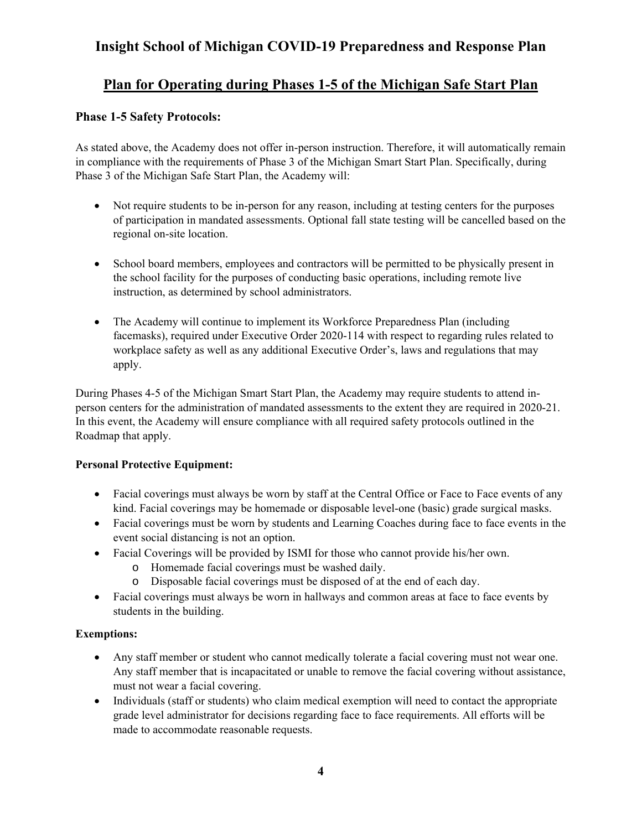## **Plan for Operating during Phases 1-5 of the Michigan Safe Start Plan**

## **Phase 1-5 Safety Protocols:**

As stated above, the Academy does not offer in-person instruction. Therefore, it will automatically remain in compliance with the requirements of Phase 3 of the Michigan Smart Start Plan. Specifically, during Phase 3 of the Michigan Safe Start Plan, the Academy will:

- Not require students to be in-person for any reason, including at testing centers for the purposes of participation in mandated assessments. Optional fall state testing will be cancelled based on the regional on-site location.
- School board members, employees and contractors will be permitted to be physically present in the school facility for the purposes of conducting basic operations, including remote live instruction, as determined by school administrators.
- The Academy will continue to implement its Workforce Preparedness Plan (including facemasks), required under Executive Order 2020-114 with respect to regarding rules related to workplace safety as well as any additional Executive Order's, laws and regulations that may apply.

During Phases 4-5 of the Michigan Smart Start Plan, the Academy may require students to attend inperson centers for the administration of mandated assessments to the extent they are required in 2020-21. In this event, the Academy will ensure compliance with all required safety protocols outlined in the Roadmap that apply.

### **Personal Protective Equipment:**

- Facial coverings must always be worn by staff at the Central Office or Face to Face events of any kind. Facial coverings may be homemade or disposable level-one (basic) grade surgical masks.
- Facial coverings must be worn by students and Learning Coaches during face to face events in the event social distancing is not an option.
- Facial Coverings will be provided by ISMI for those who cannot provide his/her own.
	- o Homemade facial coverings must be washed daily.
	- o Disposable facial coverings must be disposed of at the end of each day.
- Facial coverings must always be worn in hallways and common areas at face to face events by students in the building.

### **Exemptions:**

- Any staff member or student who cannot medically tolerate a facial covering must not wear one. Any staff member that is incapacitated or unable to remove the facial covering without assistance, must not wear a facial covering.
- Individuals (staff or students) who claim medical exemption will need to contact the appropriate grade level administrator for decisions regarding face to face requirements. All efforts will be made to accommodate reasonable requests.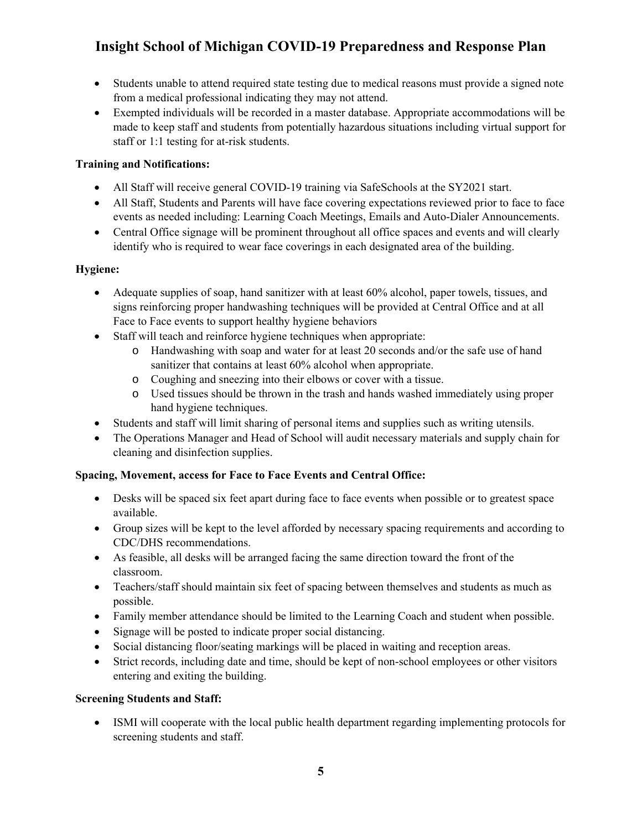- Students unable to attend required state testing due to medical reasons must provide a signed note from a medical professional indicating they may not attend.
- Exempted individuals will be recorded in a master database. Appropriate accommodations will be made to keep staff and students from potentially hazardous situations including virtual support for staff or 1:1 testing for at-risk students.

### **Training and Notifications:**

- All Staff will receive general COVID-19 training via SafeSchools at the SY2021 start.
- All Staff, Students and Parents will have face covering expectations reviewed prior to face to face events as needed including: Learning Coach Meetings, Emails and Auto-Dialer Announcements.
- Central Office signage will be prominent throughout all office spaces and events and will clearly identify who is required to wear face coverings in each designated area of the building.

### **Hygiene:**

- Adequate supplies of soap, hand sanitizer with at least 60% alcohol, paper towels, tissues, and signs reinforcing proper handwashing techniques will be provided at Central Office and at all Face to Face events to support healthy hygiene behaviors
- Staff will teach and reinforce hygiene techniques when appropriate:
	- o Handwashing with soap and water for at least 20 seconds and/or the safe use of hand sanitizer that contains at least 60% alcohol when appropriate.
	- o Coughing and sneezing into their elbows or cover with a tissue.
	- o Used tissues should be thrown in the trash and hands washed immediately using proper hand hygiene techniques.
- Students and staff will limit sharing of personal items and supplies such as writing utensils.
- The Operations Manager and Head of School will audit necessary materials and supply chain for cleaning and disinfection supplies.

### **Spacing, Movement, access for Face to Face Events and Central Office:**

- Desks will be spaced six feet apart during face to face events when possible or to greatest space available.
- Group sizes will be kept to the level afforded by necessary spacing requirements and according to CDC/DHS recommendations.
- As feasible, all desks will be arranged facing the same direction toward the front of the classroom.
- Teachers/staff should maintain six feet of spacing between themselves and students as much as possible.
- Family member attendance should be limited to the Learning Coach and student when possible.
- Signage will be posted to indicate proper social distancing.
- Social distancing floor/seating markings will be placed in waiting and reception areas.
- Strict records, including date and time, should be kept of non-school employees or other visitors entering and exiting the building.

### **Screening Students and Staff:**

 ISMI will cooperate with the local public health department regarding implementing protocols for screening students and staff.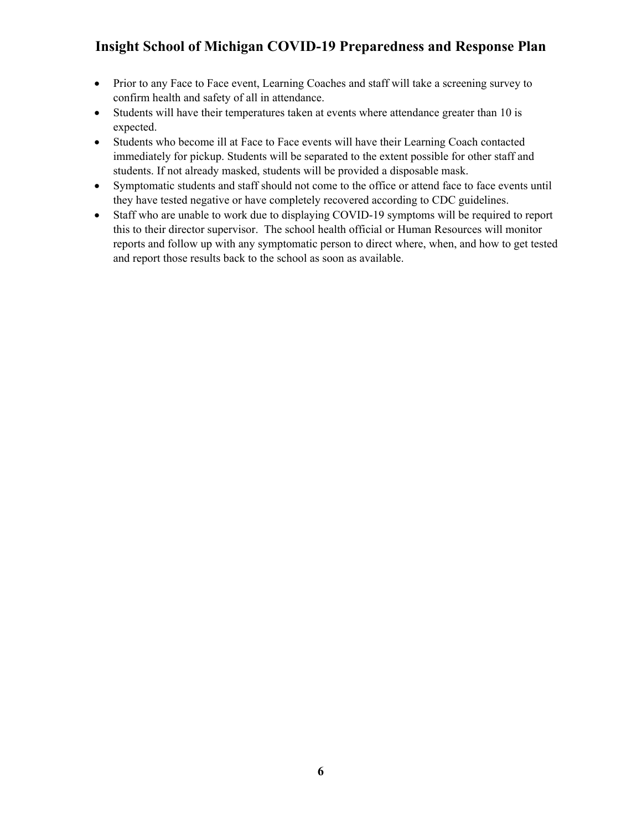- Prior to any Face to Face event, Learning Coaches and staff will take a screening survey to confirm health and safety of all in attendance.
- Students will have their temperatures taken at events where attendance greater than 10 is expected.
- Students who become ill at Face to Face events will have their Learning Coach contacted immediately for pickup. Students will be separated to the extent possible for other staff and students. If not already masked, students will be provided a disposable mask.
- Symptomatic students and staff should not come to the office or attend face to face events until they have tested negative or have completely recovered according to CDC guidelines.
- Staff who are unable to work due to displaying COVID-19 symptoms will be required to report this to their director supervisor. The school health official or Human Resources will monitor reports and follow up with any symptomatic person to direct where, when, and how to get tested and report those results back to the school as soon as available.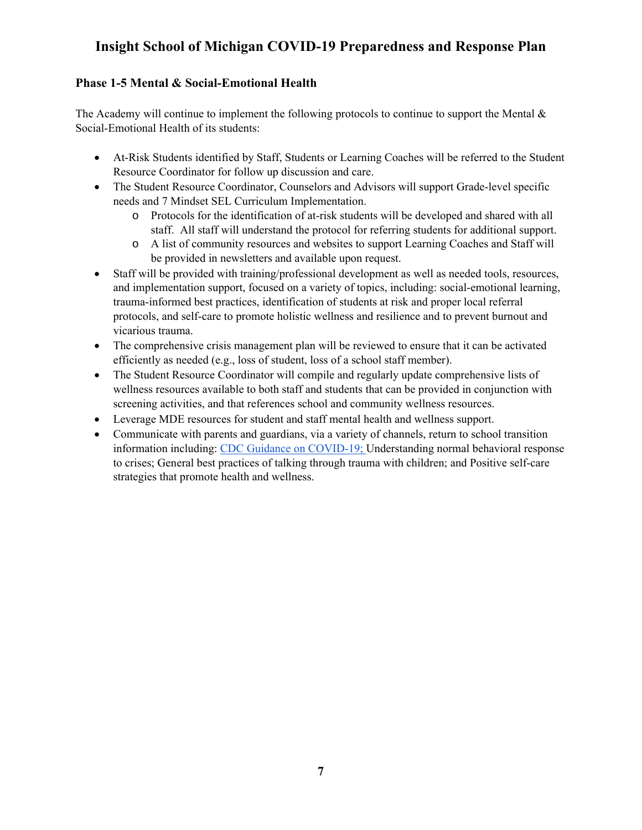## **Phase 1-5 Mental & Social-Emotional Health**

The Academy will continue to implement the following protocols to continue to support the Mental  $\&$ Social-Emotional Health of its students:

- At-Risk Students identified by Staff, Students or Learning Coaches will be referred to the Student Resource Coordinator for follow up discussion and care.
- The Student Resource Coordinator, Counselors and Advisors will support Grade-level specific needs and 7 Mindset SEL Curriculum Implementation.
	- o Protocols for the identification of at-risk students will be developed and shared with all staff. All staff will understand the protocol for referring students for additional support.
	- o A list of community resources and websites to support Learning Coaches and Staff will be provided in newsletters and available upon request.
- Staff will be provided with training/professional development as well as needed tools, resources, and implementation support, focused on a variety of topics, including: social-emotional learning, trauma-informed best practices, identification of students at risk and proper local referral protocols, and self-care to promote holistic wellness and resilience and to prevent burnout and vicarious trauma.
- The comprehensive crisis management plan will be reviewed to ensure that it can be activated efficiently as needed (e.g., loss of student, loss of a school staff member).
- The Student Resource Coordinator will compile and regularly update comprehensive lists of wellness resources available to both staff and students that can be provided in conjunction with screening activities, and that references school and community wellness resources.
- Leverage MDE resources for student and staff mental health and wellness support.
- Communicate with parents and guardians, via a variety of channels, return to school transition information including: CDC Guidance on COVID-19; Understanding normal behavioral response to crises; General best practices of talking through trauma with children; and Positive self-care strategies that promote health and wellness.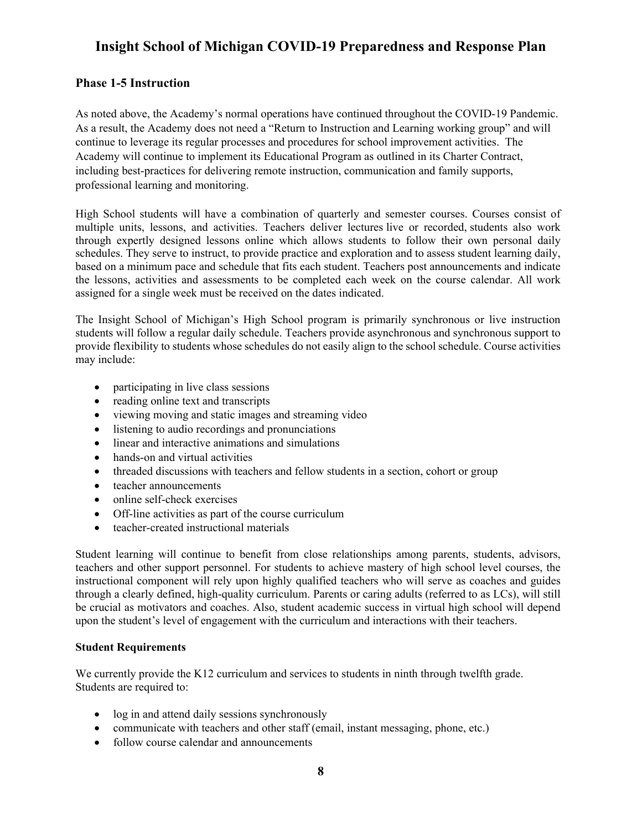### **Phase 1-5 Instruction**

As noted above, the Academy's normal operations have continued throughout the COVID-19 Pandemic. As a result, the Academy does not need a "Return to Instruction and Learning working group" and will continue to leverage its regular processes and procedures for school improvement activities. The Academy will continue to implement its Educational Program as outlined in its Charter Contract, including best-practices for delivering remote instruction, communication and family supports, professional learning and monitoring.

High School students will have a combination of quarterly and semester courses. Courses consist of multiple units, lessons, and activities. Teachers deliver lectures live or recorded, students also work through expertly designed lessons online which allows students to follow their own personal daily schedules. They serve to instruct, to provide practice and exploration and to assess student learning daily, based on a minimum pace and schedule that fits each student. Teachers post announcements and indicate the lessons, activities and assessments to be completed each week on the course calendar. All work assigned for a single week must be received on the dates indicated.

The Insight School of Michigan's High School program is primarily synchronous or live instruction students will follow a regular daily schedule. Teachers provide asynchronous and synchronous support to provide flexibility to students whose schedules do not easily align to the school schedule. Course activities may include:

- participating in live class sessions
- reading online text and transcripts
- viewing moving and static images and streaming video
- listening to audio recordings and pronunciations
- linear and interactive animations and simulations
- hands-on and virtual activities
- threaded discussions with teachers and fellow students in a section, cohort or group
- teacher announcements
- online self-check exercises
- Off-line activities as part of the course curriculum
- teacher-created instructional materials

Student learning will continue to benefit from close relationships among parents, students, advisors, teachers and other support personnel. For students to achieve mastery of high school level courses, the instructional component will rely upon highly qualified teachers who will serve as coaches and guides through a clearly defined, high-quality curriculum. Parents or caring adults (referred to as LCs), will still be crucial as motivators and coaches. Also, student academic success in virtual high school will depend upon the student's level of engagement with the curriculum and interactions with their teachers.

#### **Student Requirements**

We currently provide the K12 curriculum and services to students in ninth through twelfth grade. Students are required to:

- log in and attend daily sessions synchronously
- communicate with teachers and other staff (email, instant messaging, phone, etc.)
- follow course calendar and announcements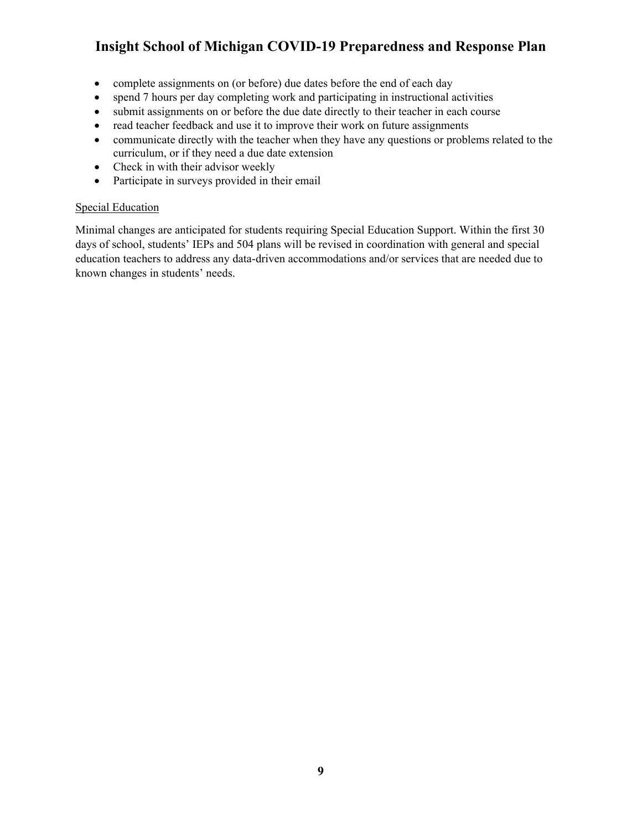- complete assignments on (or before) due dates before the end of each day
- spend 7 hours per day completing work and participating in instructional activities
- submit assignments on or before the due date directly to their teacher in each course
- read teacher feedback and use it to improve their work on future assignments
- communicate directly with the teacher when they have any questions or problems related to the curriculum, or if they need a due date extension
- Check in with their advisor weekly
- Participate in surveys provided in their email

#### Special Education

Minimal changes are anticipated for students requiring Special Education Support. Within the first 30 days of school, students' IEPs and 504 plans will be revised in coordination with general and special education teachers to address any data-driven accommodations and/or services that are needed due to known changes in students' needs.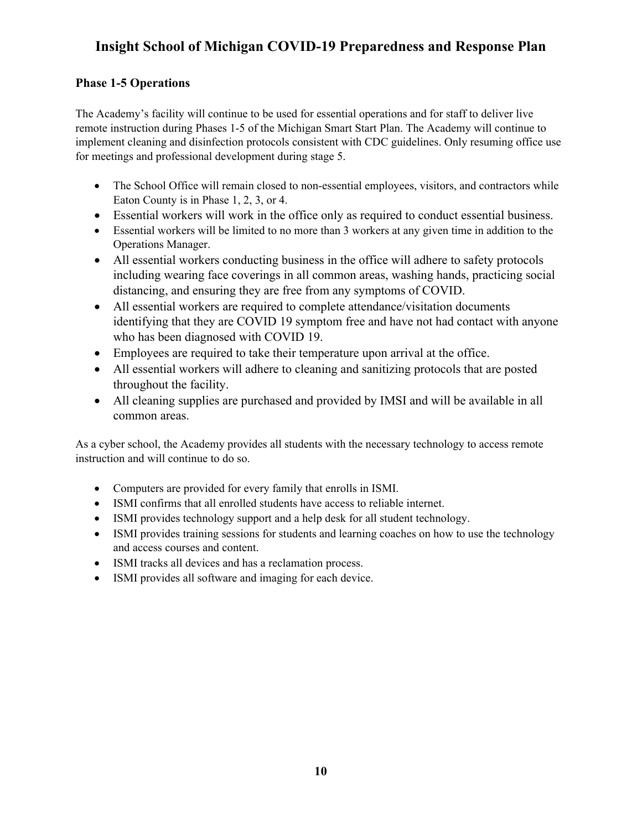## **Phase 1-5 Operations**

The Academy's facility will continue to be used for essential operations and for staff to deliver live remote instruction during Phases 1-5 of the Michigan Smart Start Plan. The Academy will continue to implement cleaning and disinfection protocols consistent with CDC guidelines. Only resuming office use for meetings and professional development during stage 5.

- The School Office will remain closed to non-essential employees, visitors, and contractors while Eaton County is in Phase 1, 2, 3, or 4.
- Essential workers will work in the office only as required to conduct essential business.
- Essential workers will be limited to no more than 3 workers at any given time in addition to the Operations Manager.
- All essential workers conducting business in the office will adhere to safety protocols including wearing face coverings in all common areas, washing hands, practicing social distancing, and ensuring they are free from any symptoms of COVID.
- All essential workers are required to complete attendance/visitation documents identifying that they are COVID 19 symptom free and have not had contact with anyone who has been diagnosed with COVID 19.
- Employees are required to take their temperature upon arrival at the office.
- All essential workers will adhere to cleaning and sanitizing protocols that are posted throughout the facility.
- All cleaning supplies are purchased and provided by IMSI and will be available in all common areas.

As a cyber school, the Academy provides all students with the necessary technology to access remote instruction and will continue to do so.

- Computers are provided for every family that enrolls in ISMI.
- ISMI confirms that all enrolled students have access to reliable internet.
- ISMI provides technology support and a help desk for all student technology.
- ISMI provides training sessions for students and learning coaches on how to use the technology and access courses and content.
- ISMI tracks all devices and has a reclamation process.
- ISMI provides all software and imaging for each device.